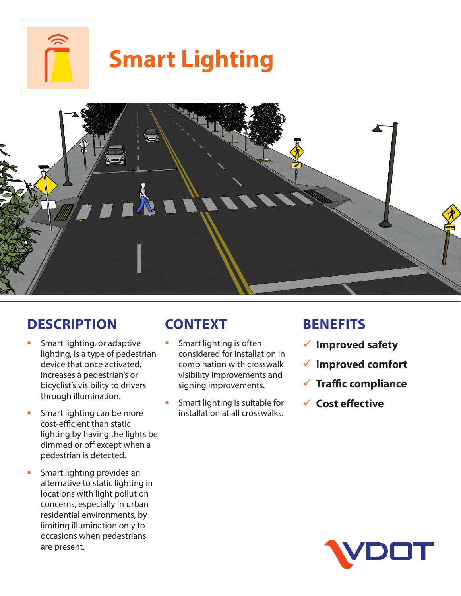

# **Smart Lighting**



# **DESCRIPTION**

- **Smart lighting, or adaptive** lighting, is a type of pedestrian device that once activated, increases a pedestrian's or bicyclist's visibility to drivers through illumination.
- **Smart lighting can be more** cost-efficient than static lighting by having the lights be dimmed or off except when a pedestrian is detected.
- **Smart lighting provides an** alternative to static lighting in locations with light pollution concerns, especially in urban residential environments, by limiting illumination only to occasions when pedestrians are present.

# **CONTEXT**

- **Smart lighting is often** considered for installation in combination with crosswalk visibility improvements and signing improvements.
- Smart lighting is suitable for installation at all crosswalks.

## **BENEFITS**

- 9 **Improved safety**
- 9 **Improved comfort**
- 9 **Traffic compliance**
- 9 **Cost effective**